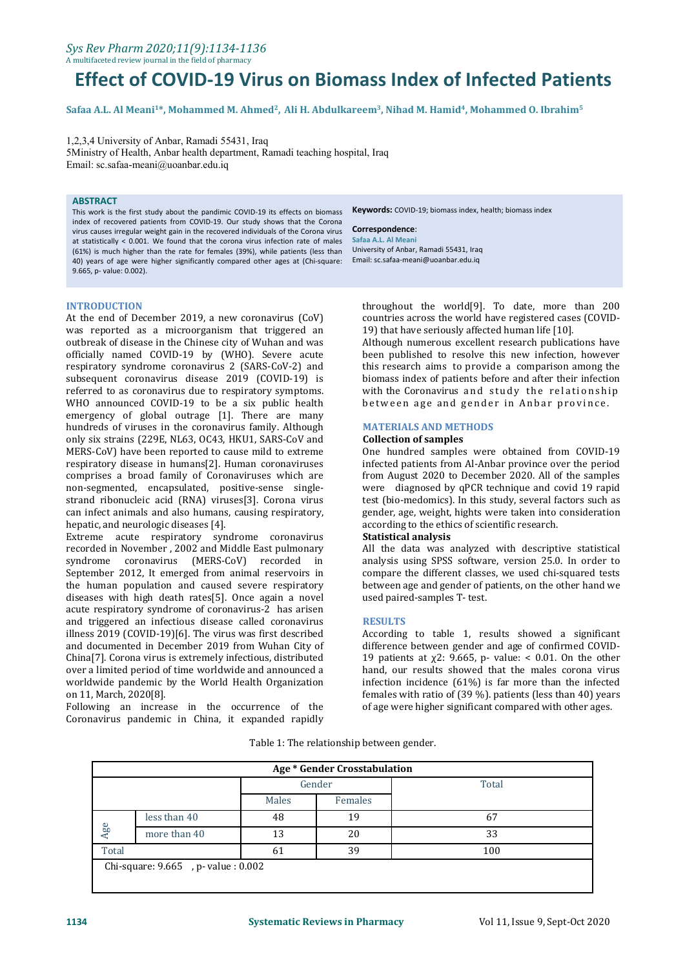#### *Sys Rev Pharm 2020;11(9):1134-1136* A multifaceted review journal in the field of pharmacy

# **Effect of COVID-19 Virus on Biomass Index of Infected Patients**

Safaa A.L. Al Meani<sup>1</sup>\*, Mohammed M. Ahmed<sup>2</sup>, Ali H. Abdulkareem<sup>3</sup>, Nihad M. Hamid<sup>4</sup>, Mohammed O. Ibrahim<sup>5</sup>

1,2,3,4 University of Anbar, Ramadi 55431, Iraq 5Ministry of Health, Anbar health department, Ramadi teaching hospital, Iraq Email: [sc.safaa-meani@uoanbar.edu.iq](mailto:sc.safaa-meani@uoanbar.edu.iq)

### **ABSTRACT**

This work is the first study about the pandimic COVID-19 its effects on biomass index of recovered patients from COVID-19. Our study shows that the Corona virus causes irregular weight gain in the recovered individuals of the Corona virus at statistically < 0.001. We found that the corona virus infection rate of males (61%) is much higher than the rate for females (39%), while patients (less than 40) years of age were higher significantly compared other ages at (Chi-square: 9.665, p- value: 0.002).

**Keywords:** COVID-19; biomass index, health; biomass index

#### **Correspondence**:

**Safaa A.L. Al Meani** University of Anbar, Ramadi 55431, Iraq Email: [sc.safaa-meani@uoanbar.edu.iq](mailto:sc.safaa-meani@uoanbar.edu.iq)

#### **INTRODUCTION**

At the end of December 2019, a new coronavirus (CoV) was reported as a microorganism that triggered an outbreak of disease in the Chinese city of Wuhan and was officially named COVID-19 by (WHO). Severe acute respiratory syndrome coronavirus 2 (SARS-CoV-2) and subsequent coronavirus disease 2019 (COVID-19) is referred to as coronavirus due to respiratory symptoms. WHO announced COVID-19 to be a six public health emergency of global outrage [1]. There are many hundreds of viruses in the coronavirus family. Although only six strains (229E, NL63, OC43, HKU1, SARS-CoV and MERS-CoV) have been reported to cause mild to extreme respiratory disease in humans[2]. Human coronaviruses comprises a broad family of Coronaviruses which are non-segmented, encapsulated, positive-sense single strand ribonucleic acid (RNA) viruses[3]. Corona virus can infect animals and also humans, causing respiratory, eender, age, weight,<br>hepatic, and neurologic diseases [4]. <br>Extreme acute respiratory syndrome coronavirus **Statistical analysis** 

Extreme acute respiratory syndrome coronavirus recorded in November , 2002 and Middle East pulmonary syndrome coronavirus (MERS-CoV) recorded in analysis using SPSS software, version 25.0. In order to September 2012, It emerged from animal reservoirs in compare the different classes, we used chi-squared tests September 2012, It emerged from animal reservoirs in the human population and caused severe respiratory diseases with high death rates[5]. Once again a novel acute respiratory syndrome of coronavirus-2 has arisen and triggered an infectious disease called coronavirus illness 2019 (COVID-19)[6]. The virus was first described and documented in December 2019 from Wuhan City of China[7]. Corona virus is extremely infectious, distributed over a limited period of time worldwide and announced a worldwide pandemic by the World Health Organization on 11, March, 2020[8].

Following an increase in the occurrence of the Coronavirus pandemic in China, it expanded rapidly

throughout the world[9]. To date, more than 200 countries across the world have registered cases (COVID- 19) that have seriously affected human life [10].

Although numerous excellent research publications have been published to resolve this new infection, however this research aims to provide a comparison among the biomass index of patients before and after their infection with the Coronavirus and study the relationship between age and gender in Anbar province.

### **MATERIALS AND METHODS**

# **Collection of samples**

One hundred samples were obtained from COVID-19 infected patients from Al-Anbar province over the period from August 2020 to December 2020. All of the samples were diagnosed by qPCR technique and covid 19 rapid test (bio-medomics). In this study, several factors such as gender, age, weight, hights were taken into consideration according to the ethics of scientific research.

All the data was analyzed with descriptive statistical analysis using SPSS software, version 25.0. In order to between age and gender of patients, on the other hand we used paired-samples T- test.

#### **RESULTS**

According to table 1, results showed a significant difference between gender and age of confirmed COVID- 19 patients at  $χ2$ : 9.665, p- value: < 0.01. On the other hand, our results showed that the males corona virus infection incidence (61%) is far more than the infected females with ratio of (39 %). patients (less than 40) years of age were higher significant compared with other ages.

|       |                                    |        | Age * Gender Crosstabulation |       |
|-------|------------------------------------|--------|------------------------------|-------|
|       |                                    | Gender |                              | Total |
|       |                                    | Males  | Females                      |       |
|       | less than 40                       | 48     | 19                           | 67    |
| Age   | more than 40                       | 13     | 20                           | 33    |
| Total |                                    | 61     | 39                           | 100   |
|       | Chi-square: 9.665, p- value: 0.002 |        |                              |       |
|       |                                    |        |                              |       |

Table 1: The relationship between gender.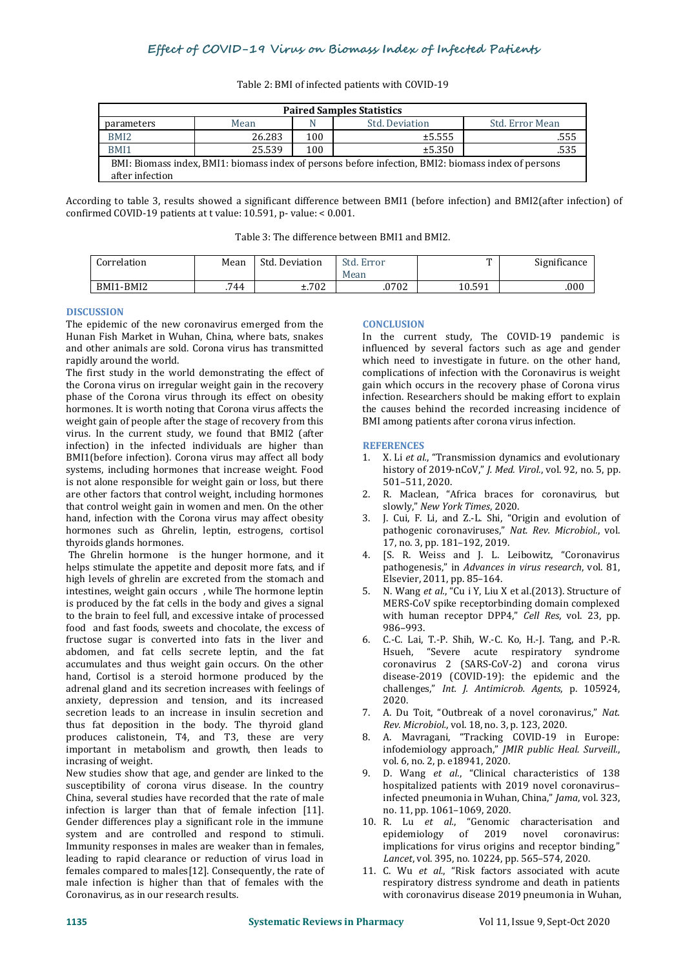| <b>Paired Samples Statistics</b>                                                                    |        |     |                |                 |  |  |  |  |
|-----------------------------------------------------------------------------------------------------|--------|-----|----------------|-----------------|--|--|--|--|
| parameters                                                                                          | Mean   |     | Std. Deviation | Std. Error Mean |  |  |  |  |
| BMI <sub>2</sub>                                                                                    | 26.283 | 100 | ±5.555         | .555            |  |  |  |  |
| BMI1                                                                                                | 25.539 | 100 | ±5.350         | .535            |  |  |  |  |
| BMI: Biomass index, BMI1: biomass index of persons before infection, BMI2: biomass index of persons |        |     |                |                 |  |  |  |  |
| after infection                                                                                     |        |     |                |                 |  |  |  |  |

Table 2: BMI of infected patients with COVID-19

According to table 3, results showed a significant difference between BMI1 (before infection) and BMI2(after infection) of confirmed COVID-19 patients at t value: 10.591, p- value: < 0.001.

| Table 3: The difference between BMI1 and BMI2. |  |
|------------------------------------------------|--|
|------------------------------------------------|--|

| Correlation | Mean | Std. Deviation | Std.<br>Error<br>Mean | m      | Significance |
|-------------|------|----------------|-----------------------|--------|--------------|
| BMI1-BMI2   | .744 | ±.702          | .0702                 | 10.591 | .000         |

# **DISCUSSION**

The epidemic of the new coronavirus emerged from the Hunan Fish Market in Wuhan, China, where bats, snakes and other animals are sold. Corona virus has transmitted rapidly around the world.

The first study in the world demonstrating the effect of the Corona virus on irregular weight gain in the recovery phase of the Corona virus through its effect on obesity hormones. It is worth noting that Corona virus affects the weight gain of people after the stage of recovery from this virus. In the current study, we found that BMI2 (after infection) in the infected individuals are higher than BMI1(before infection). Corona virus may affect all body systems, including hormones that increase weight. Food is not alone responsible for weight gain or loss, but there are other factors that control weight, including hormones 2. R. Maclean, "Africa braces that control weight gain in women and men. On the other slowly," New York Times, 2020. that control weight gain in women and men. On the other<br>hand, infection with the Corona virus may affect obesity 3. hand, infection with the Corona virus may affect obesity hormones such as Ghrelin, leptin, estrogens, cortisol thyroids glands hormones.

The Ghrelin hormone is the hunger hormone, and it 4. helps stimulate the appetite and deposit more fats, and if high levels of ghrelin are excreted from the stomach and intestines, weight gain occurs , while The hormone leptin is produced by the fat cells in the body and gives a signal to the brain to feel full, and excessive intake of processed food and fast foods, sweets and chocolate, the excess of<br>fructose sugar is converted into fats in the liver and fructose sugar is converted into fats in the liver and abdomen, and fat cells secrete leptin, and the fat accumulates and thus weight gain occurs. On the other hand, Cortisol is a steroid hormone produced by the adrenal gland and its secretion increases with feelings of anxiety, depression and tension, and its increased secretion leads to an increase in insulin secretion and T. A. Du Toit, "Outbreak of a novel corona<br>thus fat deposition in the body. The thyroid gland Rev. Microbiol., vol. 18, no. 3, p. 123, 2020. thus fat deposition in the body. The thyroid gland produces calistonein, T4, and T3, these are very important in metabolism and growth, then leads to incrasing of weight.

New studies show that age, and gender are linked to the susceptibility of corona virus disease. In the country China, several studies have recorded that the rate of male infection is larger than that of female infection [11]. Gender differences play a significant role in the immune system and are controlled and respond to stimuli. <br>Immunity responses in males are weaker than in females. The implications for virus origins and receptor binding Immunity responses in males are weaker than in females, leading to rapid clearance or reduction of virus load in females compared to males[12]. Consequently, the rate of male infection is higher than that of females with the Coronavirus, as in our research results.

# **CONCLUSION**

In the current study, The COVID-19 pandemic is influenced by several factors such as age and gender which need to investigate in future. on the other hand, complications of infection with the Coronavirus is weight gain which occurs in the recovery phase of Corona virus infection. Researchers should be making effort to explain the causes behind the recorded increasing incidence of BMI among patients after corona virus infection.

# **REFERENCES**

- 1. X. Li *et al.*, "Transmission dynamics and evolutionary history of 2019-nCoV," *J. Med. Virol.*, vol. 92, no. 5, pp. 501–511, 2020.
- 2. R. Maclean, "Africa braces for coronavirus, but
- J. Cui, F. Li, and Z.-L. Shi, "Origin and evolution of pathogenic coronaviruses," *Nat. Rev. Microbiol.*, vol. 17, no. 3, pp. 181–192, 2019.
- [S. R. Weiss and J. L. Leibowitz, "Coronavirus pathogenesis," in *Advances in virus research*, vol. 81, Elsevier, 2011, pp. 85–164.
- 5. N. Wang *et al.*, "Cu i Y, Liu X et al.(2013). Structure of MERS-CoV spike receptorbinding domain complexed with human receptor DPP4," *Cell Res*, vol. 23, pp. 986–993.
- 6. C.-C. Lai, T.-P. Shih, W.-C. Ko, H.-J. Tang, and P.-R. Hsueh, "Severe acute respiratory syndrome coronavirus 2 (SARS-CoV-2) and corona virus disease-2019 (COVID-19): the epidemic and the challenges," *Int. J. Antimicrob. Agents*, p. 105924, 2020.
- 7. A. Du Toit, "Outbreak of a novel coronavirus," Nat.
- 8. A. Mavragani, "Tracking COVID-19 in Europe: infodemiology approach," *JMIR public Heal. Surveill.*, vol. 6, no. 2, p. e18941, 2020.
- 9.D. Wang *et al.*, "Clinical characteristics of 138 hospitalized patients with 2019 novel coronavirus– infected pneumonia in Wuhan, China," *Jama*, vol. 323, no. 11, pp. 1061–1069, 2020.
- 10. R. Lu *et al.*, "Genomic characterisation and epidemiology of 2019 Lancet, vol. 395, no. 10224, pp. 565–574, 2020.
- 11. C. Wu *et al.*, "Risk factors associated with acute respiratory distress syndrome and death in patients with coronavirus disease 2019 pneumonia in Wuhan,